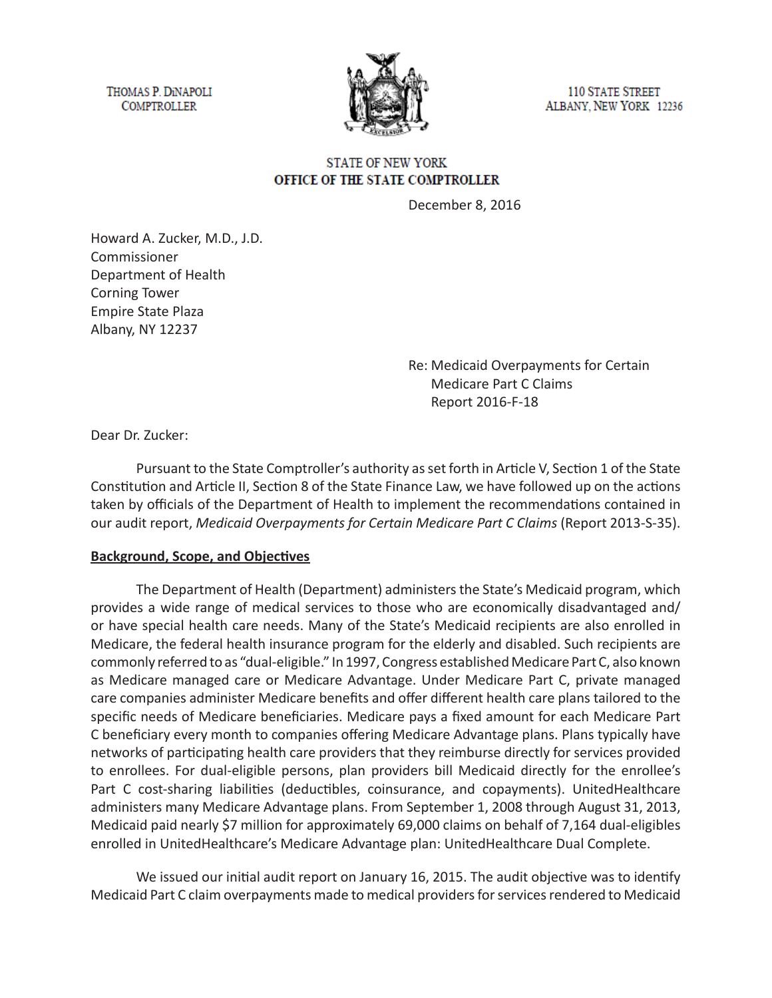THOMAS P. DINAPOLI **COMPTROLLER** 



**110 STATE STREET** ALBANY, NEW YORK 12236

### **STATE OF NEW YORK** OFFICE OF THE STATE COMPTROLLER

December 8, 2016

Howard A. Zucker, M.D., J.D. Commissioner Department of Health Corning Tower Empire State Plaza Albany, NY 12237

> Re: Medicaid Overpayments for Certain Medicare Part C Claims Report 2016-F-18

Dear Dr. Zucker:

Pursuant to the State Comptroller's authority as set forth in Article V, Section 1 of the State Constitution and Article II, Section 8 of the State Finance Law, we have followed up on the actions taken by officials of the Department of Health to implement the recommendations contained in our audit report, *Medicaid Overpayments for Certain Medicare Part C Claims* (Report 2013-S-35).

#### **Background, Scope, and Objectives**

The Department of Health (Department) administers the State's Medicaid program, which provides a wide range of medical services to those who are economically disadvantaged and/ or have special health care needs. Many of the State's Medicaid recipients are also enrolled in Medicare, the federal health insurance program for the elderly and disabled. Such recipients are commonly referred to as "dual-eligible." In 1997, Congress established Medicare Part C, also known as Medicare managed care or Medicare Advantage. Under Medicare Part C, private managed care companies administer Medicare benefits and offer different health care plans tailored to the specific needs of Medicare beneficiaries. Medicare pays a fixed amount for each Medicare Part C beneficiary every month to companies offering Medicare Advantage plans. Plans typically have networks of participating health care providers that they reimburse directly for services provided to enrollees. For dual-eligible persons, plan providers bill Medicaid directly for the enrollee's Part C cost-sharing liabilities (deductibles, coinsurance, and copayments). UnitedHealthcare administers many Medicare Advantage plans. From September 1, 2008 through August 31, 2013, Medicaid paid nearly \$7 million for approximately 69,000 claims on behalf of 7,164 dual-eligibles enrolled in UnitedHealthcare's Medicare Advantage plan: UnitedHealthcare Dual Complete.

We issued our initial audit report on January 16, 2015. The audit objective was to identify Medicaid Part C claim overpayments made to medical providers for services rendered to Medicaid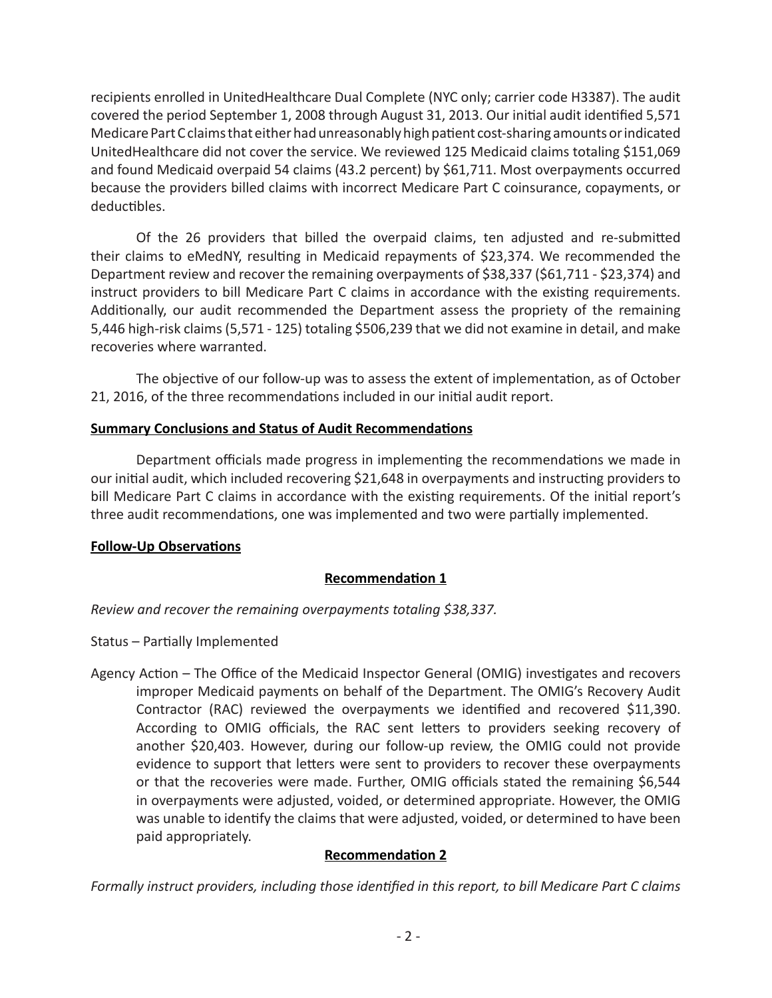recipients enrolled in UnitedHealthcare Dual Complete (NYC only; carrier code H3387). The audit covered the period September 1, 2008 through August 31, 2013. Our initial audit identified 5,571 Medicare Part C claims that either had unreasonably high patient cost-sharing amounts or indicated UnitedHealthcare did not cover the service. We reviewed 125 Medicaid claims totaling \$151,069 and found Medicaid overpaid 54 claims (43.2 percent) by \$61,711. Most overpayments occurred because the providers billed claims with incorrect Medicare Part C coinsurance, copayments, or deductibles.

Of the 26 providers that billed the overpaid claims, ten adjusted and re-submitted their claims to eMedNY, resulting in Medicaid repayments of \$23,374. We recommended the Department review and recover the remaining overpayments of \$38,337 (\$61,711 - \$23,374) and instruct providers to bill Medicare Part C claims in accordance with the existing requirements. Additionally, our audit recommended the Department assess the propriety of the remaining 5,446 high-risk claims (5,571 - 125) totaling \$506,239 that we did not examine in detail, and make recoveries where warranted.

The objective of our follow-up was to assess the extent of implementation, as of October 21, 2016, of the three recommendations included in our initial audit report.

### **Summary Conclusions and Status of Audit Recommendations**

Department officials made progress in implementing the recommendations we made in our initial audit, which included recovering \$21,648 in overpayments and instructing providers to bill Medicare Part C claims in accordance with the existing requirements. Of the initial report's three audit recommendations, one was implemented and two were partially implemented.

### **Follow-Up Observations**

# **Recommendation 1**

*Review and recover the remaining overpayments totaling \$38,337.*

Status – Partially Implemented

Agency Action – The Office of the Medicaid Inspector General (OMIG) investigates and recovers improper Medicaid payments on behalf of the Department. The OMIG's Recovery Audit Contractor (RAC) reviewed the overpayments we identified and recovered \$11,390. According to OMIG officials, the RAC sent letters to providers seeking recovery of another \$20,403. However, during our follow-up review, the OMIG could not provide evidence to support that letters were sent to providers to recover these overpayments or that the recoveries were made. Further, OMIG officials stated the remaining \$6,544 in overpayments were adjusted, voided, or determined appropriate. However, the OMIG was unable to identify the claims that were adjusted, voided, or determined to have been paid appropriately.

# **Recommendation 2**

*Formally instruct providers, including those identified in this report, to bill Medicare Part C claims*